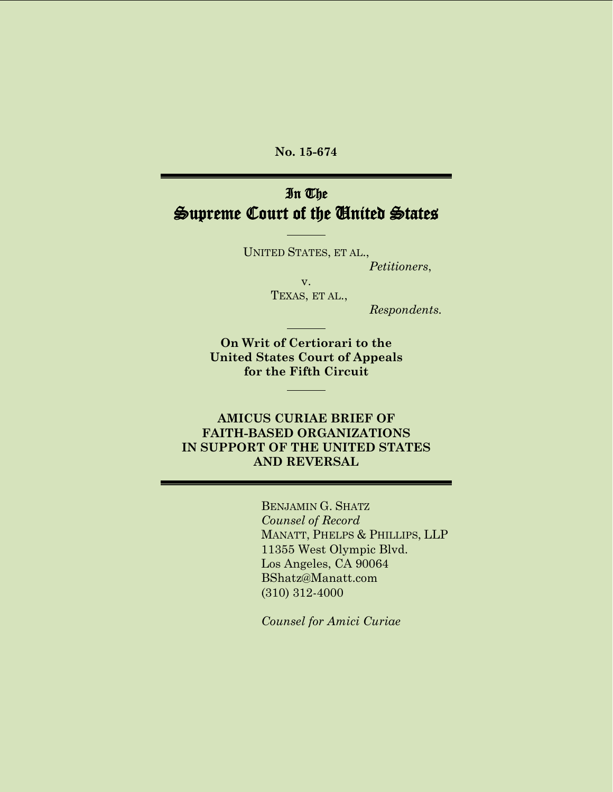**No. 15-674**

# In The Supreme Court of the United States

UNITED STATES, ET AL., *Petitioners*,

> v. TEXAS, ET AL.,

> > *Respondents.*

**On Writ of Certiorari to the United States Court of Appeals for the Fifth Circuit**

#### **AMICUS CURIAE BRIEF OF FAITH-BASED ORGANIZATIONS IN SUPPORT OF THE UNITED STATES AND REVERSAL**

BENJAMIN G. SHATZ *Counsel of Record* MANATT, PHELPS & PHILLIPS, LLP 11355 West Olympic Blvd. Los Angeles, CA 90064 [BShatz@Manatt.com](mailto:BShatz@manatt.com) (310) 312-4000

*Counsel for Amici Curiae*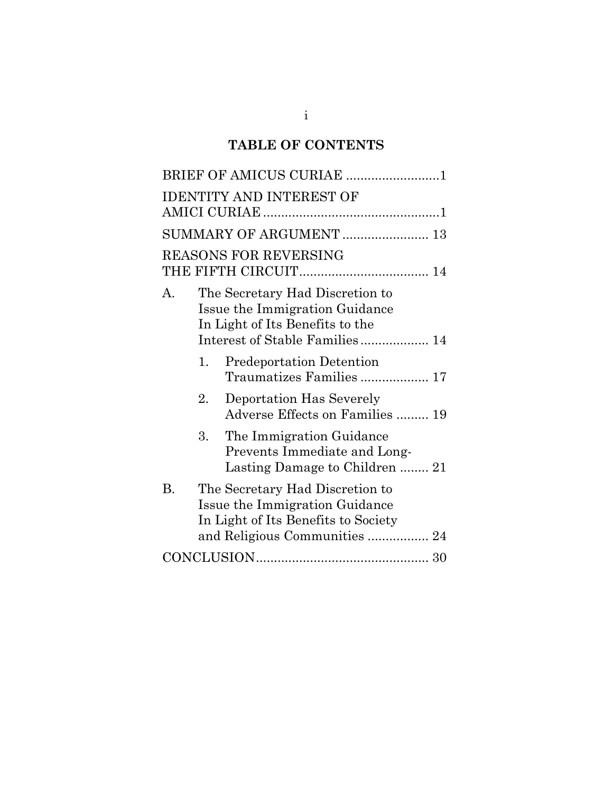# **TABLE OF CONTENTS**

| BRIEF OF AMICUS CURIAE 1                                                                                                                               |  |  |  |  |  |
|--------------------------------------------------------------------------------------------------------------------------------------------------------|--|--|--|--|--|
| <b>IDENTITY AND INTEREST OF</b>                                                                                                                        |  |  |  |  |  |
| SUMMARY OF ARGUMENT  13                                                                                                                                |  |  |  |  |  |
| <b>REASONS FOR REVERSING</b>                                                                                                                           |  |  |  |  |  |
| The Secretary Had Discretion to<br>A.<br>Issue the Immigration Guidance<br>In Light of Its Benefits to the<br>Interest of Stable Families 14           |  |  |  |  |  |
| <b>Predeportation Detention</b><br>1.<br>Traumatizes Families  17                                                                                      |  |  |  |  |  |
| Deportation Has Severely<br>2.<br>Adverse Effects on Families  19                                                                                      |  |  |  |  |  |
| 3.<br>The Immigration Guidance<br>Prevents Immediate and Long-<br>Lasting Damage to Children  21                                                       |  |  |  |  |  |
| <b>B.</b><br>The Secretary Had Discretion to<br>Issue the Immigration Guidance<br>In Light of Its Benefits to Society<br>and Religious Communities  24 |  |  |  |  |  |
|                                                                                                                                                        |  |  |  |  |  |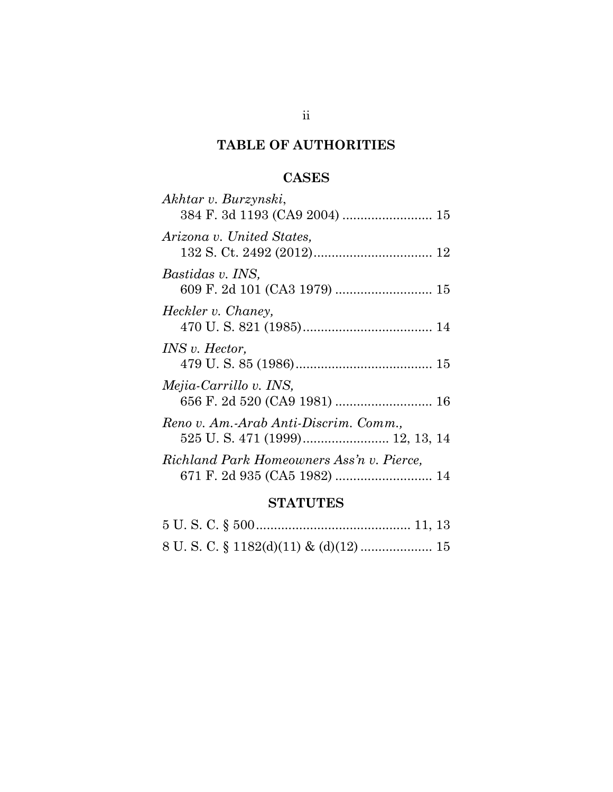# **TABLE OF AUTHORITIES**

## **CASES**

| am a mi mnia                              |  |
|-------------------------------------------|--|
|                                           |  |
| Richland Park Homeowners Ass'n v. Pierce, |  |
| Reno v. Am.-Arab Anti-Discrim. Comm.,     |  |
|                                           |  |
| Mejia-Carrillo v. INS,                    |  |
| <i>INS v. Hector,</i>                     |  |
|                                           |  |
| Heckler v. Chaney,                        |  |
|                                           |  |
| Bastidas v. INS,                          |  |
|                                           |  |
| Arizona v. United States,                 |  |
|                                           |  |
| Akhtar v. Burzynski,                      |  |

#### **STATUTES**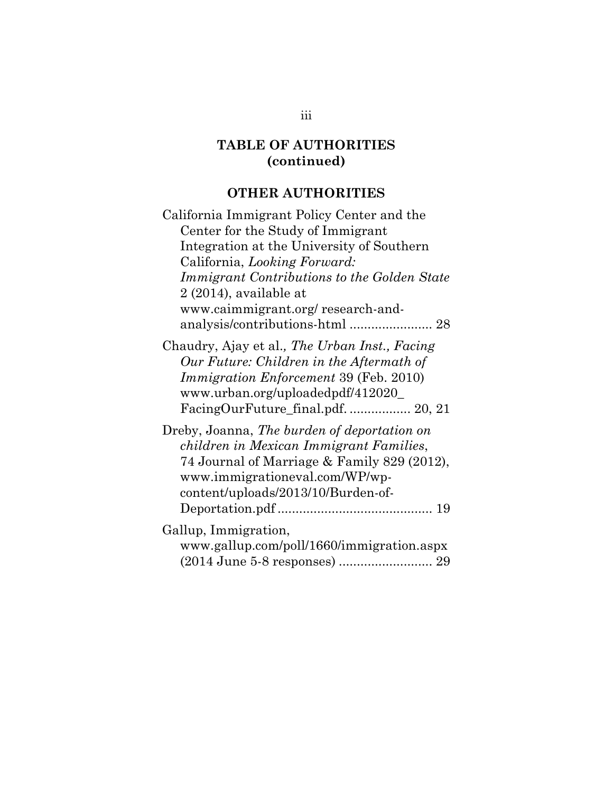## **OTHER AUTHORITIES**

| California Immigrant Policy Center and the                                                                                                                                                                    |
|---------------------------------------------------------------------------------------------------------------------------------------------------------------------------------------------------------------|
| Center for the Study of Immigrant                                                                                                                                                                             |
| Integration at the University of Southern                                                                                                                                                                     |
| California, Looking Forward:                                                                                                                                                                                  |
| Immigrant Contributions to the Golden State                                                                                                                                                                   |
| $2(2014)$ , available at                                                                                                                                                                                      |
| www.caimmigrant.org/research-and-                                                                                                                                                                             |
|                                                                                                                                                                                                               |
| Chaudry, Ajay et al., The Urban Inst., Facing<br>Our Future: Children in the Aftermath of<br>Immigration Enforcement 39 (Feb. 2010)<br>www.urban.org/uploadedpdf/412020_<br>FacingOurFuture_final.pdf 20, 21  |
| Dreby, Joanna, The burden of deportation on<br>children in Mexican Immigrant Families,<br>74 Journal of Marriage & Family 829 (2012),<br>www.immigrationeval.com/WP/wp-<br>content/uploads/2013/10/Burden-of- |
| Gallup, Immigration,<br>www.gallup.com/poll/1660/immigration.aspx<br>(2014 June 5-8 responses)  29                                                                                                            |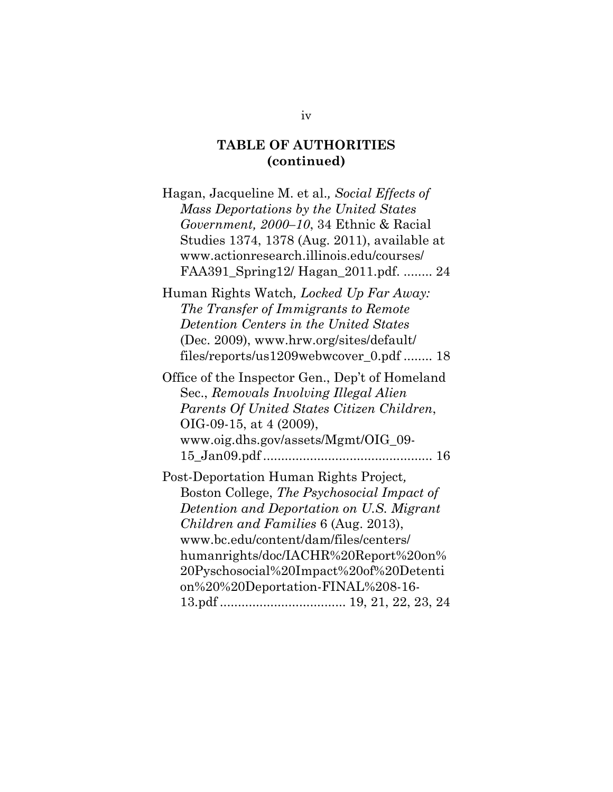| Hagan, Jacqueline M. et al., Social Effects of  |
|-------------------------------------------------|
| Mass Deportations by the United States          |
| Government, 2000–10, 34 Ethnic & Racial         |
| Studies 1374, 1378 (Aug. 2011), available at    |
| www.actionresearch.illinois.edu/courses/        |
| FAA391_Spring12/ Hagan_2011.pdf.  24            |
| Human Rights Watch, Locked Up Far Away:         |
| The Transfer of Immigrants to Remote            |
| Detention Centers in the United States          |
| (Dec. 2009), www.hrw.org/sites/default/         |
| files/reports/us1209webwcover_0.pdf  18         |
| Office of the Inspector Gen., Dep't of Homeland |
| Sec., Removals Involving Illegal Alien          |
| Parents Of United States Citizen Children,      |
| OIG-09-15, at $4(2009)$ ,                       |
| www.oig.dhs.gov/assets/Mgmt/OIG_09-             |
|                                                 |
| Post-Deportation Human Rights Project,          |
| Boston College, The Psychosocial Impact of      |
| Detention and Deportation on U.S. Migrant       |
| Children and Families 6 (Aug. 2013),            |
| www.bc.edu/content/dam/files/centers/           |
| humanrights/doc/IACHR%20Report%20on%            |
| 20Pyschosocial%20Impact%20of%20Detenti          |
| on%20%20Deportation-FINAL%208-16-               |
|                                                 |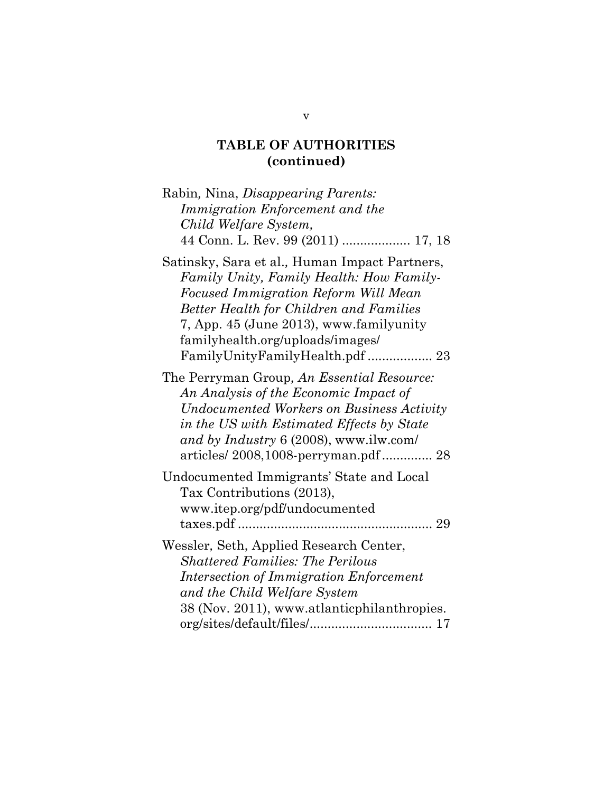| Rabin, Nina, Disappearing Parents:<br>Immigration Enforcement and the<br>Child Welfare System,<br>44 Conn. L. Rev. 99 (2011)  17, 18                                                                                                                                      |
|---------------------------------------------------------------------------------------------------------------------------------------------------------------------------------------------------------------------------------------------------------------------------|
| Satinsky, Sara et al., Human Impact Partners,<br>Family Unity, Family Health: How Family-<br><b>Focused Immigration Reform Will Mean</b><br><b>Better Health for Children and Families</b><br>7, App. 45 (June 2013), www.familyunity<br>familyhealth.org/uploads/images/ |
| The Perryman Group, An Essential Resource:<br>An Analysis of the Economic Impact of<br>Undocumented Workers on Business Activity<br>in the US with Estimated Effects by State<br>and by Industry 6 (2008), www.ilw.com/<br>articles/2008,1008-perryman.pdf 28             |
| Undocumented Immigrants' State and Local<br>Tax Contributions (2013),<br>www.itep.org/pdf/undocumented                                                                                                                                                                    |
| Wessler, Seth, Applied Research Center,<br><b>Shattered Families: The Perilous</b><br>Intersection of Immigration Enforcement<br>and the Child Welfare System<br>38 (Nov. 2011), www.atlanticphilanthropies.                                                              |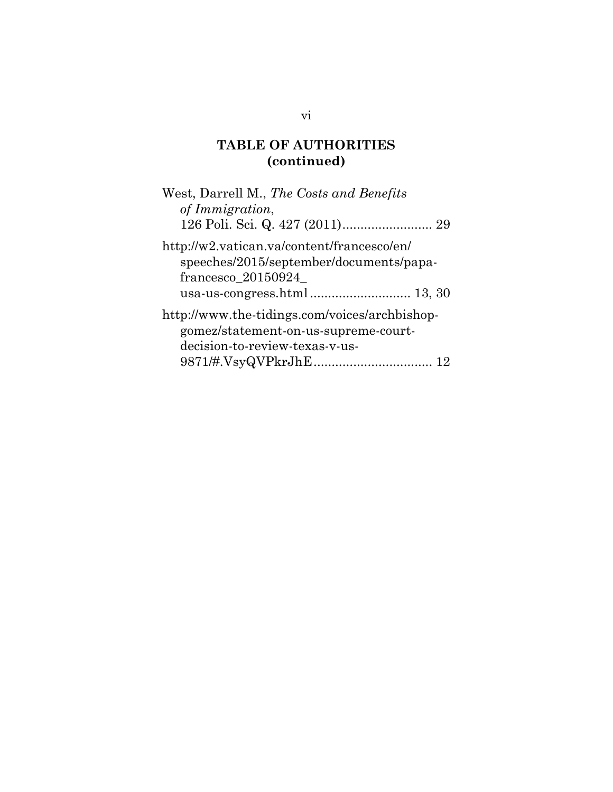| West, Darrell M., The Costs and Benefits<br>of Immigration,                                                                   |
|-------------------------------------------------------------------------------------------------------------------------------|
|                                                                                                                               |
| http://w2.vatican.va/content/francesco/en/<br>speeches/2015/september/documents/papa-<br>francesco_20150924_                  |
| http://www.the-tidings.com/voices/archbishop-<br>gomez/statement-on-us-supreme-court-<br>decision-to-review-texas-v-us-<br>12 |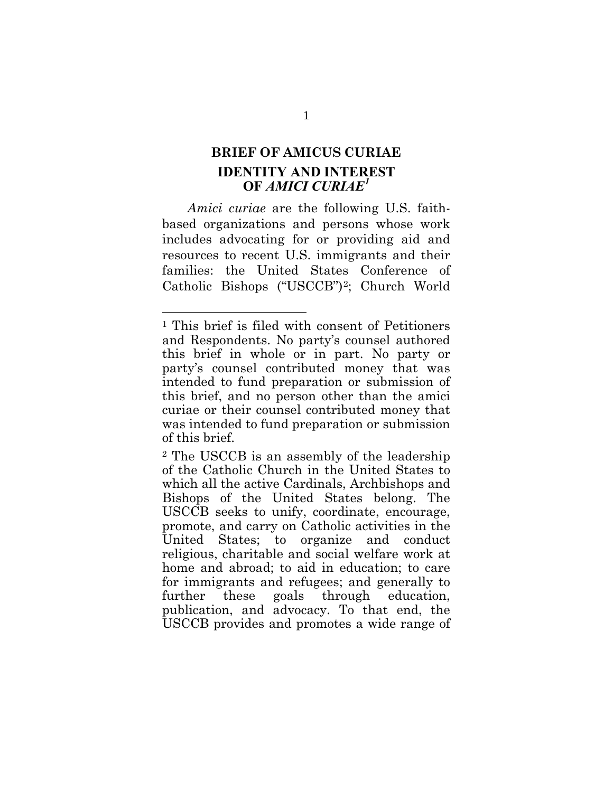## <span id="page-7-0"></span>**BRIEF OF AMICUS CURIAE IDENTITY AND INTEREST OF** *AMICI CURIAE[1](#page-7-1)*

*Amici curiae* are the following U.S. faithbased organizations and persons whose work includes advocating for or providing aid and resources to recent U.S. immigrants and their families: the United States Conference of Catholic Bishops ("USCCB")[2;](#page-7-2) Church World

<span id="page-7-1"></span><sup>1</sup> This brief is filed with consent of Petitioners and Respondents. No party's counsel authored this brief in whole or in part. No party or party's counsel contributed money that was intended to fund preparation or submission of this brief, and no person other than the amici curiae or their counsel contributed money that was intended to fund preparation or submission of this brief.

<span id="page-7-2"></span><sup>2</sup> The USCCB is an assembly of the leadership of the Catholic Church in the United States to which all the active Cardinals, Archbishops and Bishops of the United States belong. The USCCB seeks to unify, coordinate, encourage, promote, and carry on Catholic activities in the United States; to organize and conduct religious, charitable and social welfare work at home and abroad; to aid in education; to care for immigrants and refugees; and generally to further these goals through education, publication, and advocacy. To that end, the USCCB provides and promotes a wide range of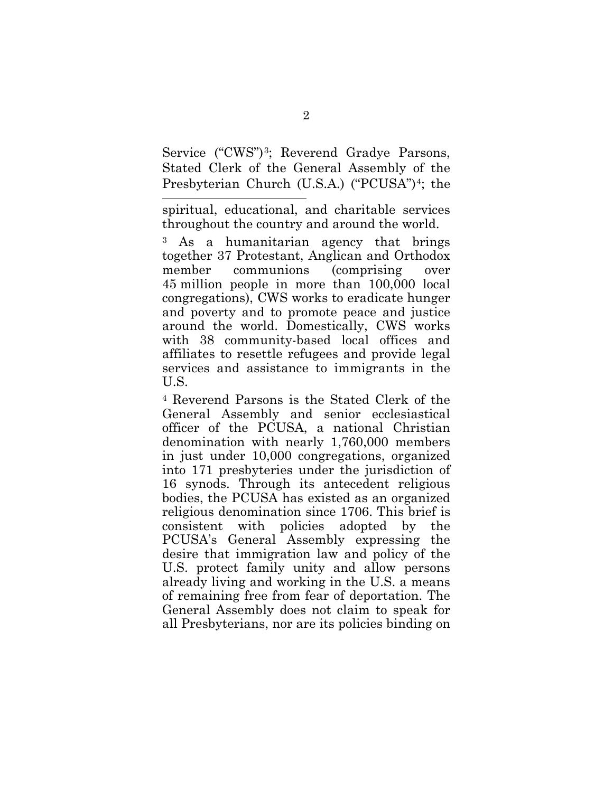Service ("CWS")<sup>[3](#page-8-0)</sup>; Reverend Gradye Parsons, Stated Clerk of the General Assembly of the Presbyterian Church (U.S.A.) ("PCUSA")<sup>4</sup>; the

l spiritual, educational, and charitable services throughout the country and around the world.

<span id="page-8-0"></span><sup>3</sup> As a humanitarian agency that brings together 37 Protestant, Anglican and Orthodox member communions (comprising over 45 million people in more than 100,000 local congregations), CWS works to eradicate hunger and poverty and to promote peace and justice around the world. Domestically, CWS works with 38 community-based local offices and affiliates to resettle refugees and provide legal services and assistance to immigrants in the U.S.

<span id="page-8-1"></span><sup>4</sup> Reverend Parsons is the Stated Clerk of the General Assembly and senior ecclesiastical officer of the PCUSA, a national Christian denomination with nearly 1,760,000 members in just under 10,000 congregations, organized into 171 presbyteries under the jurisdiction of 16 synods. Through its antecedent religious bodies, the PCUSA has existed as an organized religious denomination since 1706. This brief is consistent with policies adopted by the PCUSA's General Assembly expressing the desire that immigration law and policy of the U.S. protect family unity and allow persons already living and working in the U.S. a means of remaining free from fear of deportation. The General Assembly does not claim to speak for all Presbyterians, nor are its policies binding on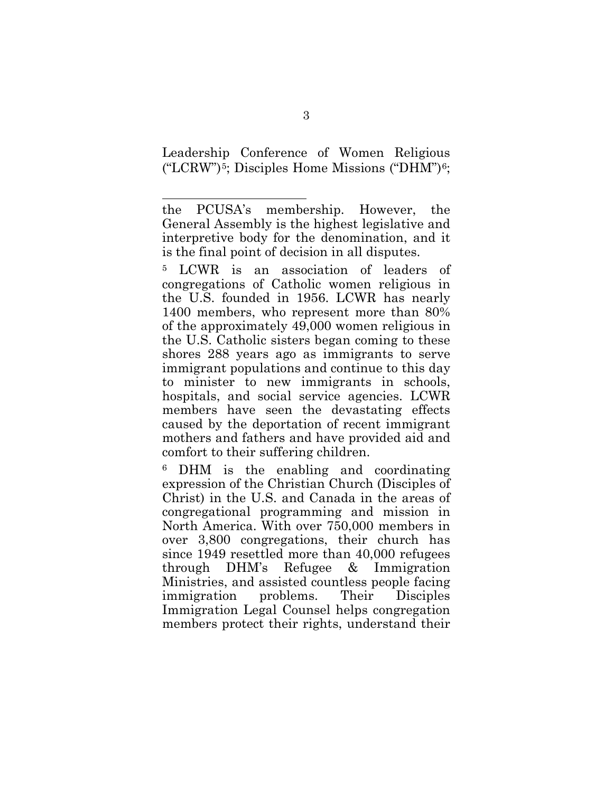Leadership Conference of Women Religious  $("LCRW")^5$  $("LCRW")^5$ ; Disciples Home Missions  $("DHM")^6$  $("DHM")^6$ ;

l

<span id="page-9-0"></span><sup>5</sup> LCWR is an association of leaders of congregations of Catholic women religious in the U.S. founded in 1956. LCWR has nearly 1400 members, who represent more than 80% of the approximately 49,000 women religious in the U.S. Catholic sisters began coming to these shores 288 years ago as immigrants to serve immigrant populations and continue to this day to minister to new immigrants in schools, hospitals, and social service agencies. LCWR members have seen the devastating effects caused by the deportation of recent immigrant mothers and fathers and have provided aid and comfort to their suffering children.

<span id="page-9-1"></span><sup>6</sup> DHM is the enabling and coordinating expression of the Christian Church (Disciples of Christ) in the U.S. and Canada in the areas of congregational programming and mission in North America. With over 750,000 members in over 3,800 congregations, their church has since 1949 resettled more than 40,000 refugees through DHM's Refugee & Immigration Ministries, and assisted countless people facing immigration problems. Their Disciples Immigration Legal Counsel helps congregation members protect their rights, understand their

the PCUSA's membership. However, the General Assembly is the highest legislative and interpretive body for the denomination, and it is the final point of decision in all disputes.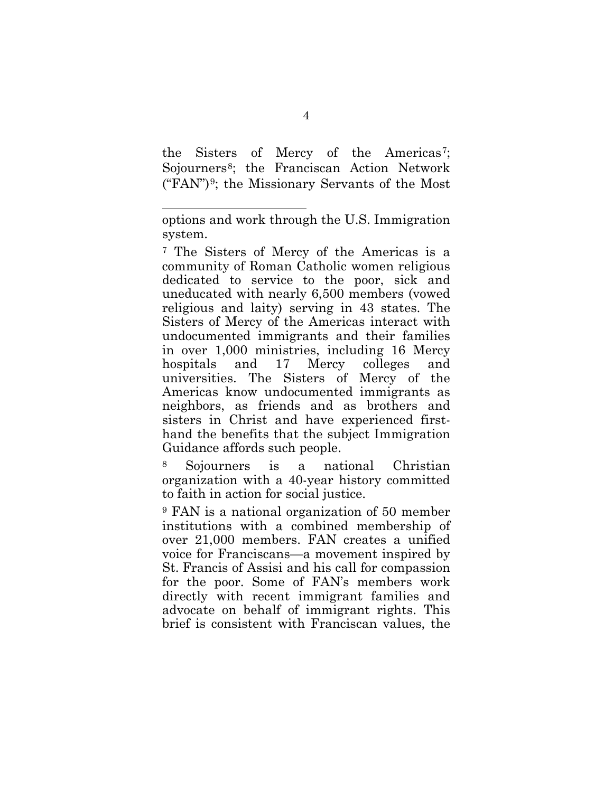the Sisters of Mercy of the Americas<sup>[7](#page-10-0)</sup>; Sojourners<sup>[8](#page-10-1)</sup>; the Franciscan Action Network ("FAN")[9;](#page-10-2) the Missionary Servants of the Most

l

<span id="page-10-1"></span><sup>8</sup> Sojourners is a national Christian organization with a 40-year history committed to faith in action for social justice.

<span id="page-10-2"></span><sup>9</sup> FAN is a national organization of 50 member institutions with a combined membership of over 21,000 members. FAN creates a unified voice for Franciscans—a movement inspired by St. Francis of Assisi and his call for compassion for the poor. Some of FAN's members work directly with recent immigrant families and advocate on behalf of immigrant rights. This brief is consistent with Franciscan values, the

options and work through the U.S. Immigration system.

<span id="page-10-0"></span><sup>7</sup> The Sisters of Mercy of the Americas is a community of Roman Catholic women religious dedicated to service to the poor, sick and uneducated with nearly 6,500 members (vowed religious and laity) serving in 43 states. The Sisters of Mercy of the Americas interact with undocumented immigrants and their families in over 1,000 ministries, including 16 Mercy hospitals and 17 Mercy colleges and universities. The Sisters of Mercy of the Americas know undocumented immigrants as neighbors, as friends and as brothers and sisters in Christ and have experienced firsthand the benefits that the subject Immigration Guidance affords such people.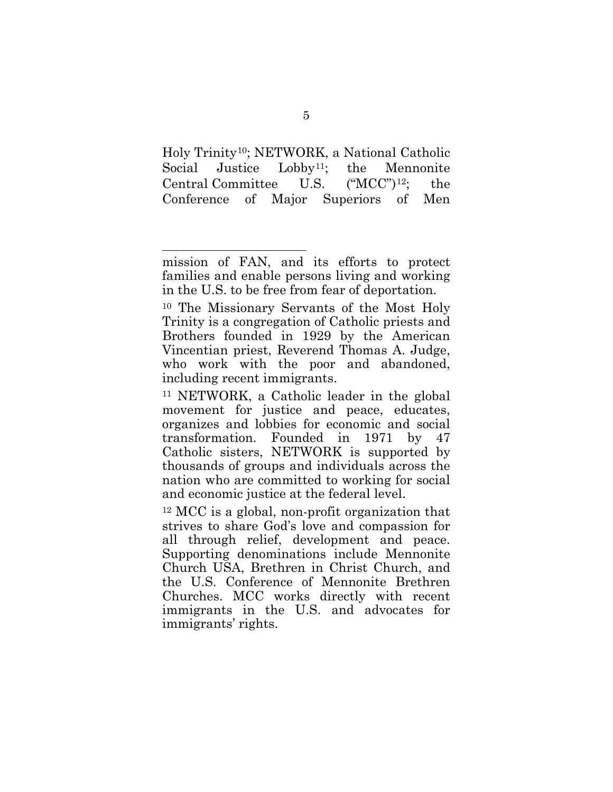Holy Trinity[10;](#page-11-0) NETWORK, a National Catholic Social Justice Lobby<sup>[11](#page-11-1)</sup>; the Mennonite Central Committee U.S. ("MCC")[12;](#page-11-2) the Conference of Major Superiors of Men

mission of FAN, and its efforts to protect families and enable persons living and working in the U.S. to be free from fear of deportation.

<span id="page-11-0"></span><sup>10</sup> The Missionary Servants of the Most Holy Trinity is a congregation of Catholic priests and Brothers founded in 1929 by the American Vincentian priest, Reverend Thomas A. Judge, who work with the poor and abandoned, including recent immigrants.

<span id="page-11-1"></span><sup>11</sup> NETWORK, a Catholic leader in the global movement for justice and peace, educates, organizes and lobbies for economic and social transformation. Founded in 1971 by 47 Catholic sisters, NETWORK is supported by thousands of groups and individuals across the nation who are committed to working for social and economic justice at the federal level.

<span id="page-11-2"></span><sup>12</sup> MCC is a global, non-profit organization that strives to share God's love and compassion for all through relief, development and peace. Supporting denominations include Mennonite Church USA, Brethren in Christ Church, and the U.S. Conference of Mennonite Brethren Churches. MCC works directly with recent immigrants in the U.S. and advocates for immigrants' rights.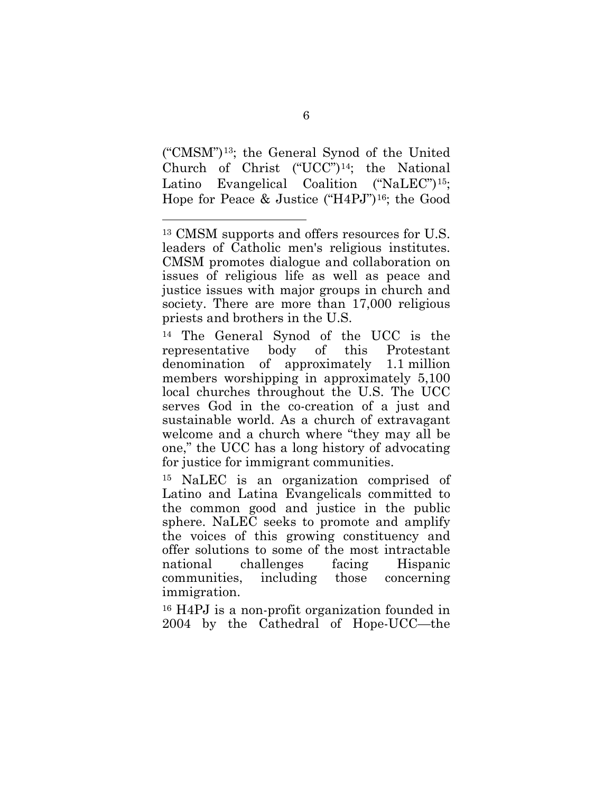("CMSM")[13;](#page-12-0) the General Synod of the United Church of Christ ("UCC")[14](#page-12-1); the National Latino Evangelical Coalition ("NaLEC")<sup>[15](#page-12-2)</sup>; Hope for Peace & Justice ("H4PJ")[16;](#page-12-3) the Good

l

<span id="page-12-1"></span><sup>14</sup> The General Synod of the UCC is the representative body of this Protestant denomination of approximately 1.1 million members worshipping in approximately 5,100 local churches throughout the U.S. The UCC serves God in the co-creation of a just and sustainable world. As a church of extravagant welcome and a church where "they may all be one," the UCC has a long history of advocating for justice for immigrant communities.

<span id="page-12-2"></span><sup>15</sup> NaLEC is an organization comprised of Latino and Latina Evangelicals committed to the common good and justice in the public sphere. NaLEC seeks to promote and amplify the voices of this growing constituency and offer solutions to some of the most intractable national challenges facing Hispanic communities, including those concerning immigration.

<span id="page-12-3"></span><sup>16</sup> H4PJ is a non-profit organization founded in 2004 by the Cathedral of Hope-UCC—the

<span id="page-12-0"></span><sup>13</sup> CMSM supports and offers resources for U.S. leaders of Catholic men's religious institutes. CMSM promotes dialogue and collaboration on issues of religious life as well as peace and justice issues with major groups in church and society. There are more than 17,000 religious priests and brothers in the U.S.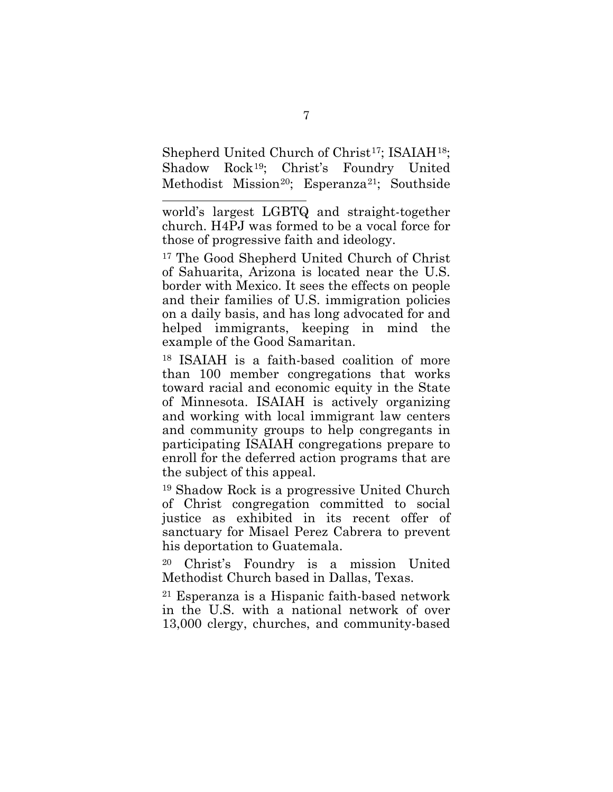Shepherd United Church of Christ<sup>17</sup>; ISAIAH<sup>[18](#page-13-1)</sup>; Shadow Rock[19](#page-13-2); Christ's Foundry United Methodist Mission<sup>20</sup>; Esperanza<sup>21</sup>; Southside

l world's largest LGBTQ and straight-together church. H4PJ was formed to be a vocal force for those of progressive faith and ideology.

<span id="page-13-0"></span><sup>17</sup> The Good Shepherd United Church of Christ of Sahuarita, Arizona is located near the U.S. border with Mexico. It sees the effects on people and their families of U.S. immigration policies on a daily basis, and has long advocated for and helped immigrants, keeping in mind the example of the Good Samaritan.

<span id="page-13-1"></span><sup>18</sup> ISAIAH is a faith-based coalition of more than 100 member congregations that works toward racial and economic equity in the State of Minnesota. ISAIAH is actively organizing and working with local immigrant law centers and community groups to help congregants in participating ISAIAH congregations prepare to enroll for the deferred action programs that are the subject of this appeal.

<span id="page-13-2"></span><sup>19</sup> Shadow Rock is a progressive United Church of Christ congregation committed to social justice as exhibited in its recent offer of sanctuary for Misael Perez Cabrera to prevent his deportation to Guatemala.

<span id="page-13-3"></span><sup>20</sup> Christ's Foundry is a mission United Methodist Church based in Dallas, Texas.

<span id="page-13-4"></span><sup>21</sup> Esperanza is a Hispanic faith-based network in the U.S. with a national network of over 13,000 clergy, churches, and community-based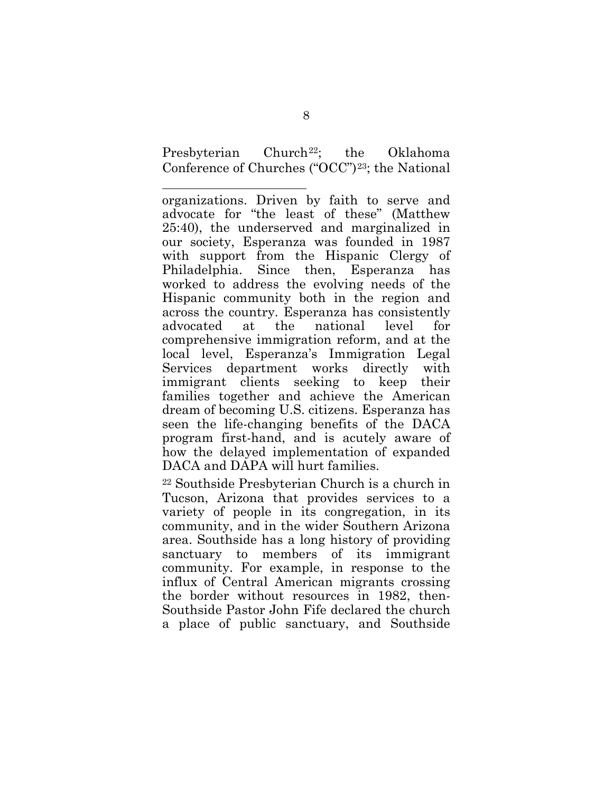Presbyterian Church<sup>22</sup>; the Oklahoma Conference of Churches ("OCC")[23](#page-14-1); the National

<span id="page-14-1"></span>l organizations. Driven by faith to serve and advocate for "the least of these" (Matthew 25:40), the underserved and marginalized in our society, Esperanza was founded in 1987 with support from the Hispanic Clergy of Philadelphia. Since then, Esperanza has worked to address the evolving needs of the Hispanic community both in the region and across the country. Esperanza has consistently advocated at the national level for comprehensive immigration reform, and at the local level, Esperanza's Immigration Legal Services department works directly with immigrant clients seeking to keep their families together and achieve the American dream of becoming U.S. citizens. Esperanza has seen the life-changing benefits of the DACA program first-hand, and is acutely aware of how the delayed implementation of expanded DACA and DAPA will hurt families.

<span id="page-14-0"></span><sup>22</sup> Southside Presbyterian Church is a church in Tucson, Arizona that provides services to a variety of people in its congregation, in its community, and in the wider Southern Arizona area. Southside has a long history of providing sanctuary to members of its immigrant community. For example, in response to the influx of Central American migrants crossing the border without resources in 1982, then-Southside Pastor John Fife declared the church a place of public sanctuary, and Southside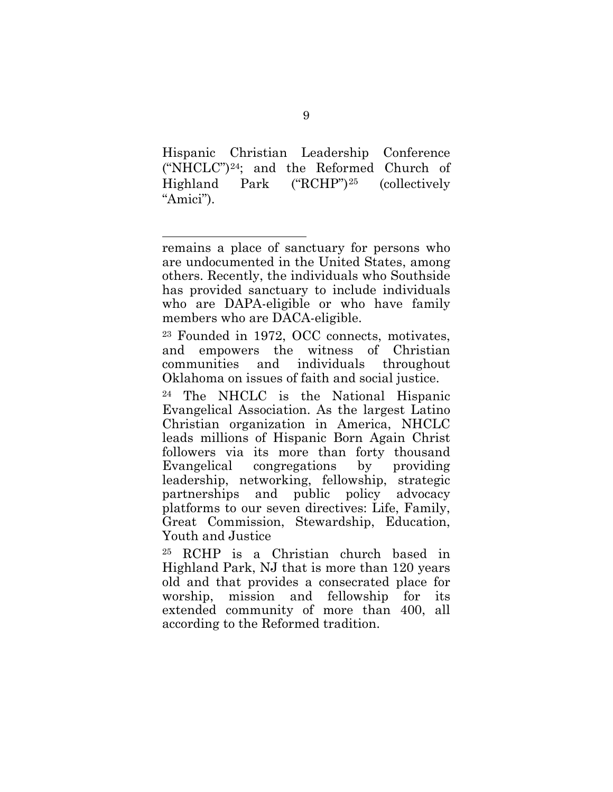Hispanic Christian Leadership Conference ("NHCLC")[24;](#page-15-0) and the Reformed Church of Highland Park ("RCHP")[25](#page-15-1) (collectively "Amici").

l

<sup>23</sup> Founded in 1972, OCC connects, motivates, and empowers the witness of Christian communities and individuals throughout Oklahoma on issues of faith and social justice.

<span id="page-15-0"></span>The NHCLC is the National Hispanic Evangelical Association. As the largest Latino Christian organization in America, NHCLC leads millions of Hispanic Born Again Christ followers via its more than forty thousand Evangelical congregations by providing leadership, networking, fellowship, strategic partnerships and public policy advocacy platforms to our seven directives: Life, Family, Great Commission, Stewardship, Education, Youth and Justice

<span id="page-15-1"></span><sup>25</sup> RCHP is a Christian church based in Highland Park, NJ that is more than 120 years old and that provides a consecrated place for worship, mission and fellowship for its extended community of more than 400, all according to the Reformed tradition.

remains a place of sanctuary for persons who are undocumented in the United States, among others. Recently, the individuals who Southside has provided sanctuary to include individuals who are DAPA-eligible or who have family members who are DACA-eligible.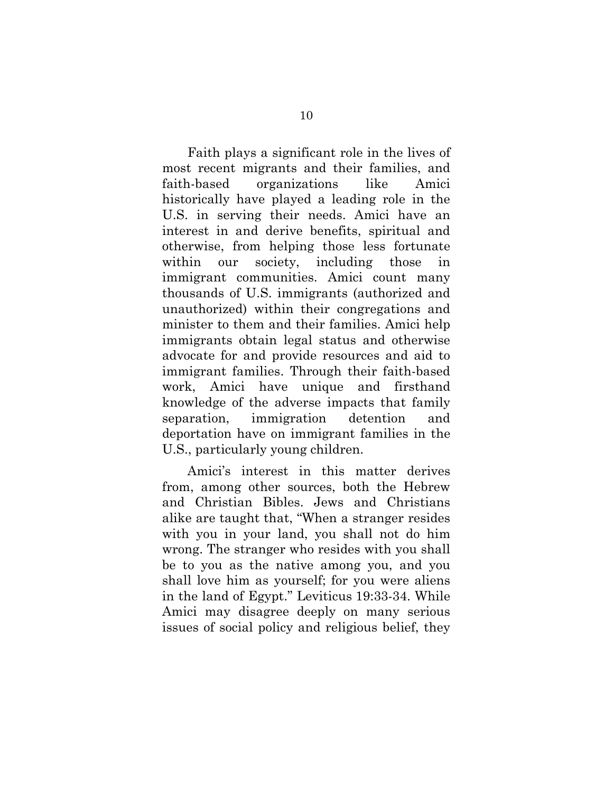Faith plays a significant role in the lives of most recent migrants and their families, and faith-based organizations like Amici historically have played a leading role in the U.S. in serving their needs. Amici have an interest in and derive benefits, spiritual and otherwise, from helping those less fortunate within our society, including those in immigrant communities. Amici count many thousands of U.S. immigrants (authorized and unauthorized) within their congregations and minister to them and their families. Amici help immigrants obtain legal status and otherwise advocate for and provide resources and aid to immigrant families. Through their faith-based work, Amici have unique and firsthand knowledge of the adverse impacts that family separation, immigration detention and deportation have on immigrant families in the U.S., particularly young children.

Amici's interest in this matter derives from, among other sources, both the Hebrew and Christian Bibles. Jews and Christians alike are taught that, "When a stranger resides with you in your land, you shall not do him wrong. The stranger who resides with you shall be to you as the native among you, and you shall love him as yourself; for you were aliens in the land of Egypt." Leviticus 19:33-34. While Amici may disagree deeply on many serious issues of social policy and religious belief, they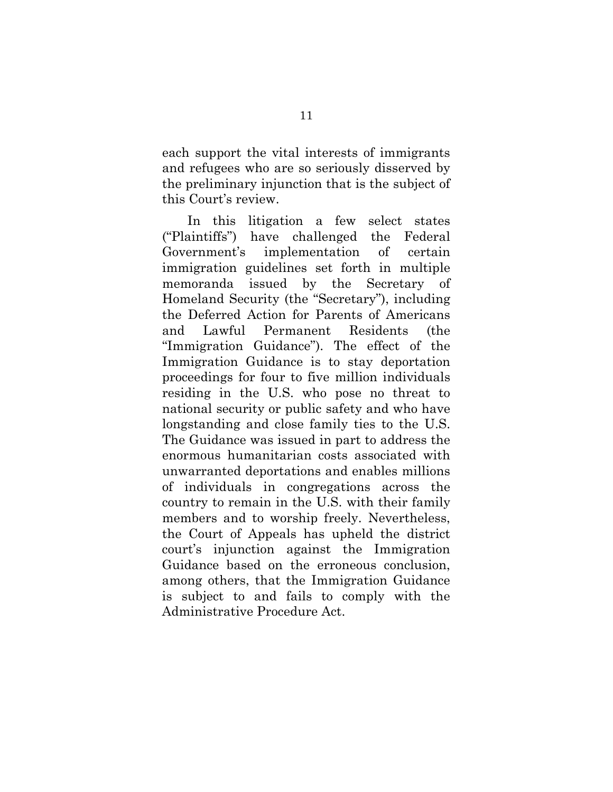each support the vital interests of immigrants and refugees who are so seriously disserved by the preliminary injunction that is the subject of this Court's review.

<span id="page-17-0"></span>In this litigation a few select states ("Plaintiffs") have challenged the Federal Government's implementation of certain immigration guidelines set forth in multiple memoranda issued by the Secretary of Homeland Security (the "Secretary"), including the Deferred Action for Parents of Americans and Lawful Permanent Residents (the "Immigration Guidance"). The effect of the Immigration Guidance is to stay deportation proceedings for four to five million individuals residing in the U.S. who pose no threat to national security or public safety and who have longstanding and close family ties to the U.S. The Guidance was issued in part to address the enormous humanitarian costs associated with unwarranted deportations and enables millions of individuals in congregations across the country to remain in the U.S. with their family members and to worship freely. Nevertheless, the Court of Appeals has upheld the district court's injunction against the Immigration Guidance based on the erroneous conclusion, among others, that the Immigration Guidance is subject to and fails to comply with the Administrative Procedure Act.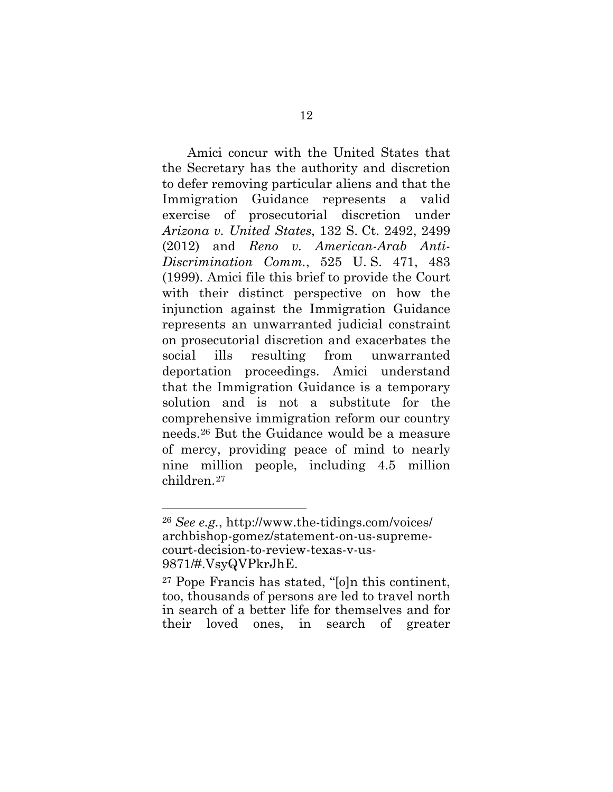<span id="page-18-1"></span><span id="page-18-0"></span>Amici concur with the United States that the Secretary has the authority and discretion to defer removing particular aliens and that the Immigration Guidance represents a valid exercise of prosecutorial discretion under *Arizona v. United States*, 132 S. Ct. 2492, 2499 (2012) and *Reno v. American-Arab Anti-Discrimination Comm.*, 525 U. S. 471, 483 (1999). Amici file this brief to provide the Court with their distinct perspective on how the injunction against the Immigration Guidance represents an unwarranted judicial constraint on prosecutorial discretion and exacerbates the social ills resulting from unwarranted deportation proceedings. Amici understand that the Immigration Guidance is a temporary solution and is not a substitute for the comprehensive immigration reform our country needs.[26](#page-18-3) But the Guidance would be a measure of mercy, providing peace of mind to nearly nine million people, including 4.5 million children.[27](#page-18-4)

<span id="page-18-3"></span><span id="page-18-2"></span><sup>26</sup> *See e.g.*, http://www.the-tidings.com/voices/ [archbishop-gomez/statement-on-us-supreme](http://www.the-tidings.com/voices/archbishop-gomez/statement-on-us-supreme-court-decision-to-review-texas-v-us-9871/#.VsyQVPkrJhE)court-decision-to-review-texas-v-us-9871/#.VsyQVPkrJhE.

<span id="page-18-4"></span><sup>27</sup> Pope Francis has stated, "[o]n this continent, too, thousands of persons are led to travel north in search of a better life for themselves and for their loved ones, in search of greater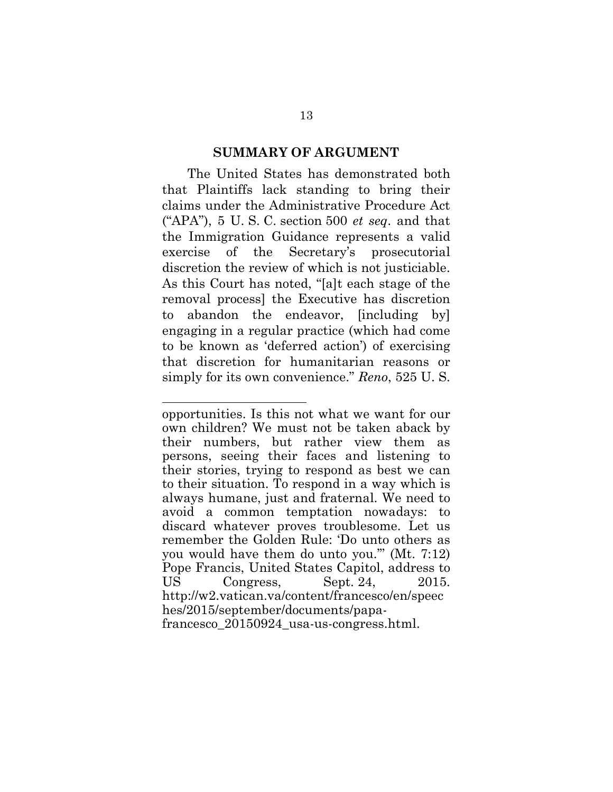#### <span id="page-19-2"></span>**SUMMARY OF ARGUMENT**

<span id="page-19-0"></span>The United States has demonstrated both that Plaintiffs lack standing to bring their claims under the Administrative Procedure Act ("APA"), 5 U. S. C. section 500 *et seq*. and that the Immigration Guidance represents a valid exercise of the Secretary's prosecutorial discretion the review of which is not justiciable. As this Court has noted, "[a]t each stage of the removal process] the Executive has discretion to abandon the endeavor, [including by] engaging in a regular practice (which had come to be known as 'deferred action') of exercising that discretion for humanitarian reasons or simply for its own convenience." *Reno*, 525 U. S.

<span id="page-19-3"></span><span id="page-19-1"></span>opportunities. Is this not what we want for our own children? We must not be taken aback by their numbers, but rather view them as persons, seeing their faces and listening to their stories, trying to respond as best we can to their situation. To respond in a way which is always humane, just and fraternal. We need to avoid a common temptation nowadays: to discard whatever proves troublesome. Let us remember the Golden Rule: 'Do unto others as you would have them do unto you.'" (Mt. 7:12) Pope Francis, United States Capitol, address to US Congress, Sept. 24, 2015. http://w2.vatican.va/content/francesco/en/speec hes/2015/september/documents/papafrancesco\_20150924\_usa-us-congress.html.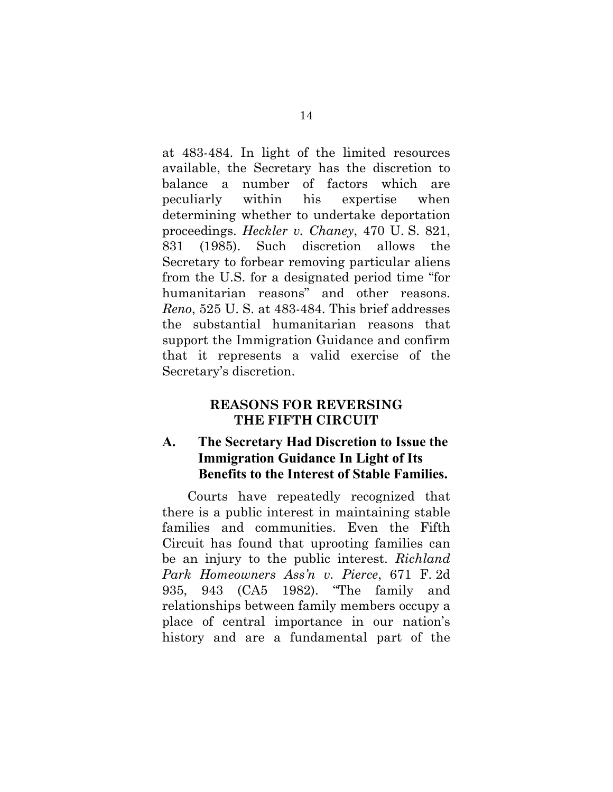<span id="page-20-1"></span><span id="page-20-0"></span>at 483-484. In light of the limited resources available, the Secretary has the discretion to balance a number of factors which are peculiarly within his expertise when determining whether to undertake deportation proceedings. *Heckler v. Chaney*, 470 U. S. 821, 831 (1985). Such discretion allows the Secretary to forbear removing particular aliens from the U.S. for a designated period time "for humanitarian reasons" and other reasons. *Reno*, 525 U. S. at 483-484. This brief addresses the substantial humanitarian reasons that support the Immigration Guidance and confirm that it represents a valid exercise of the Secretary's discretion.

### <span id="page-20-3"></span><span id="page-20-2"></span>**REASONS FOR REVERSING THE FIFTH CIRCUIT**

### **A. The Secretary Had Discretion to Issue the Immigration Guidance In Light of Its Benefits to the Interest of Stable Families.**

Courts have repeatedly recognized that there is a public interest in maintaining stable families and communities. Even the Fifth Circuit has found that uprooting families can be an injury to the public interest. *Richland Park Homeowners Ass'n v. Pierce*, 671 F. 2d 935, 943 (CA5 1982). "The family and relationships between family members occupy a place of central importance in our nation's history and are a fundamental part of the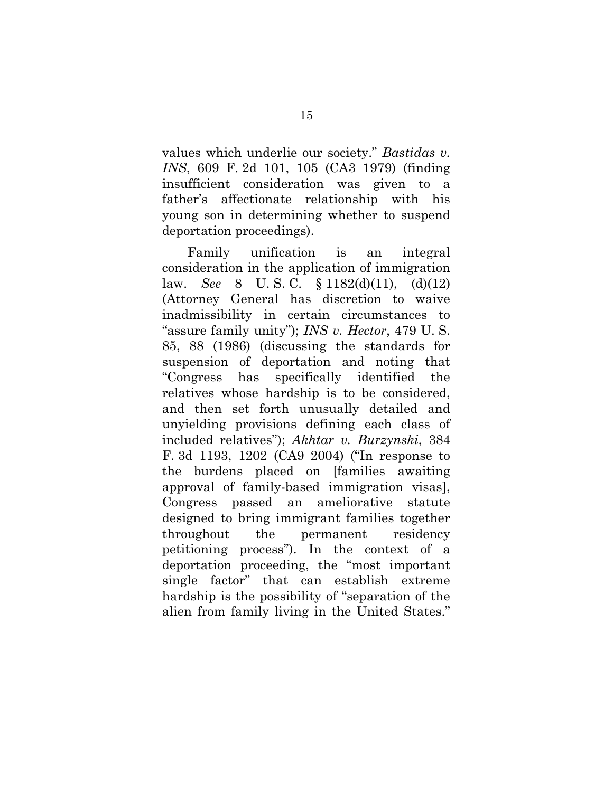<span id="page-21-1"></span>values which underlie our society." *Bastidas v. INS*, 609 F. 2d 101, 105 (CA3 1979) (finding insufficient consideration was given to a father's affectionate relationship with his young son in determining whether to suspend deportation proceedings).

<span id="page-21-3"></span><span id="page-21-2"></span><span id="page-21-0"></span>Family unification is an integral consideration in the application of immigration law. *See* 8 U. S. C. § 1182(d)(11), (d)(12) (Attorney General has discretion to waive inadmissibility in certain circumstances to "assure family unity"); *INS v. Hector*, 479 U. S. 85, 88 (1986) (discussing the standards for suspension of deportation and noting that "Congress has specifically identified the relatives whose hardship is to be considered, and then set forth unusually detailed and unyielding provisions defining each class of included relatives"); *Akhtar v. Burzynski*, 384 F. 3d 1193, 1202 (CA9 2004) ("In response to the burdens placed on [families awaiting approval of family-based immigration visas], Congress passed an ameliorative statute designed to bring immigrant families together throughout the permanent residency petitioning process"). In the context of a deportation proceeding, the "most important single factor" that can establish extreme hardship is the possibility of "separation of the alien from family living in the United States."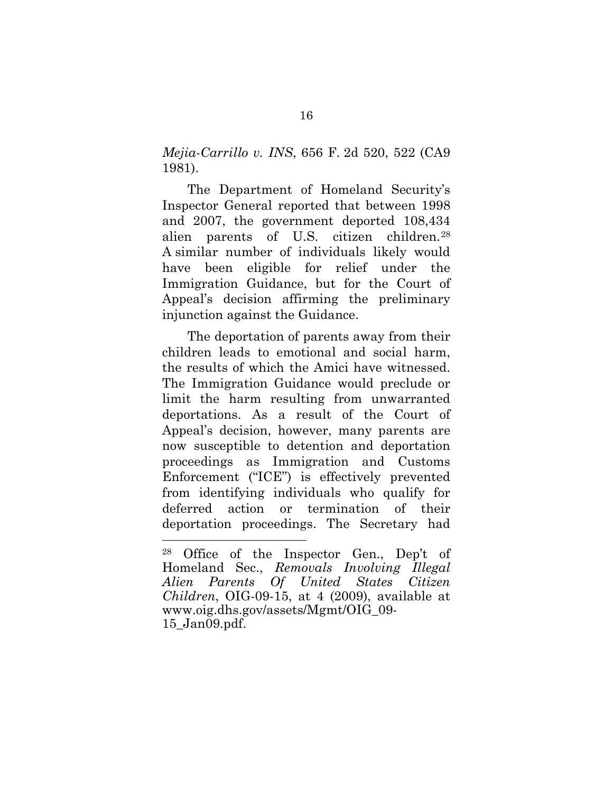<span id="page-22-0"></span>*Mejia-Carrillo v. INS*, 656 F. 2d 520, 522 (CA9 1981).

The Department of Homeland Security's Inspector General reported that between 1998 and 2007, the government deported 108,434 alien parents of U.S. citizen children.[28](#page-22-2) A similar number of individuals likely would have been eligible for relief under the Immigration Guidance, but for the Court of Appeal's decision affirming the preliminary injunction against the Guidance.

The deportation of parents away from their children leads to emotional and social harm, the results of which the Amici have witnessed. The Immigration Guidance would preclude or limit the harm resulting from unwarranted deportations. As a result of the Court of Appeal's decision, however, many parents are now susceptible to detention and deportation proceedings as Immigration and Customs Enforcement ("ICE") is effectively prevented from identifying individuals who qualify for deferred action or termination of their deportation proceedings. The Secretary had

<span id="page-22-2"></span><span id="page-22-1"></span><sup>28</sup> Office of the Inspector Gen., Dep't of Homeland Sec., *Removals Involving Illegal Alien Parents Of United States Citizen Children*, OIG-09-15, at 4 (2009), available at www.oig.dhs.gov/assets/Mgmt/OIG\_09- 15\_Jan09.pdf.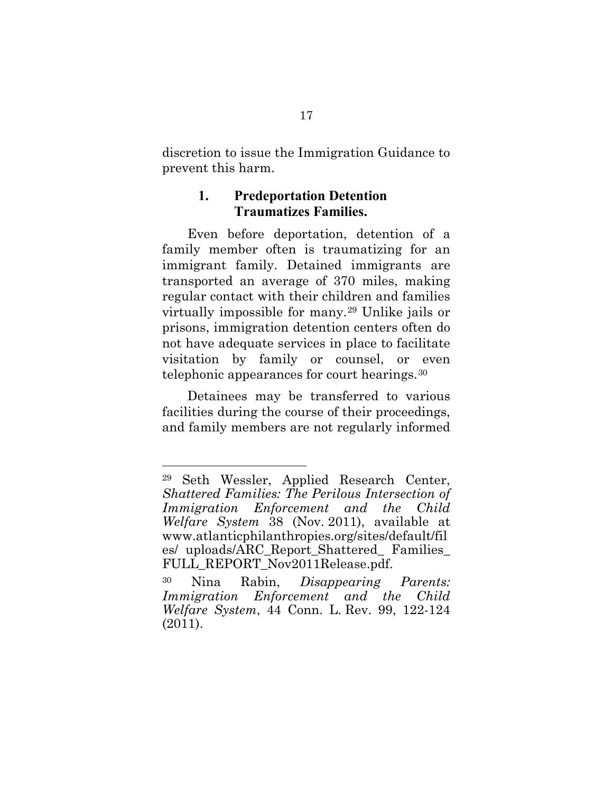<span id="page-23-0"></span>discretion to issue the Immigration Guidance to prevent this harm.

### **1. Predeportation Detention Traumatizes Families.**

Even before deportation, detention of a family member often is traumatizing for an immigrant family. Detained immigrants are transported an average of 370 miles, making regular contact with their children and families virtually impossible for many.[29](#page-23-3) Unlike jails or prisons, immigration detention centers often do not have adequate services in place to facilitate visitation by family or counsel, or even telephonic appearances for court hearings.[30](#page-23-4)

Detainees may be transferred to various facilities during the course of their proceedings, and family members are not regularly informed

<span id="page-23-3"></span><span id="page-23-2"></span><sup>29</sup> Seth Wessler, Applied Research Center, *Shattered Families: The Perilous Intersection of Immigration Enforcement and the Child Welfare System* 38 (Nov. 2011), available at [www.atlanticphilanthropies.org/sites/default/fil](www.atlanticphilanthropies.org/sites/default/files/uploads/ARC_Report_Shattered_Families_FULL_REPORT_Nov2011Release.pdf) es/ uploads/ARC\_Report\_Shattered\_ Families\_ FULL\_REPORT\_Nov2011Release.pdf.

<span id="page-23-4"></span><span id="page-23-1"></span><sup>30</sup> Nina Rabin, *Disappearing Parents: Immigration Enforcement and the Child Welfare System*, 44 Conn. L. Rev. 99, 122-124 (2011).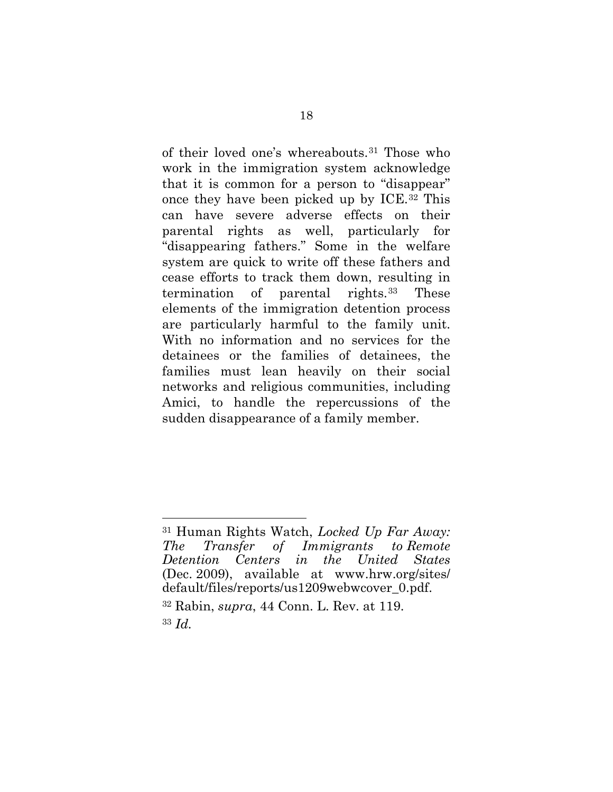of their loved one's whereabouts.[31](#page-24-2) Those who work in the immigration system acknowledge that it is common for a person to "disappear" once they have been picked up by ICE.[32](#page-24-3) This can have severe adverse effects on their parental rights as well, particularly for "disappearing fathers." Some in the welfare system are quick to write off these fathers and cease efforts to track them down, resulting in termination of parental rights.[33](#page-24-4) These elements of the immigration detention process are particularly harmful to the family unit. With no information and no services for the detainees or the families of detainees, the families must lean heavily on their social networks and religious communities, including Amici, to handle the repercussions of the sudden disappearance of a family member.

<span id="page-24-2"></span><span id="page-24-0"></span><sup>31</sup> Human Rights Watch, *Locked Up Far Away: The Transfer of Immigrants to Remote Detention Centers in the United States* (Dec. 2009), available at www.hrw.org/sites/ [default/files/reports/us1209webwcover\\_0.pdf.](www.hrw.org/sites/default/files/reports/us1209webwcover_0.pdf) <sup>32</sup> Rabin, *supra*, 44 Conn. L. Rev. at 119.

<span id="page-24-4"></span><span id="page-24-3"></span><span id="page-24-1"></span><sup>33</sup> *Id.*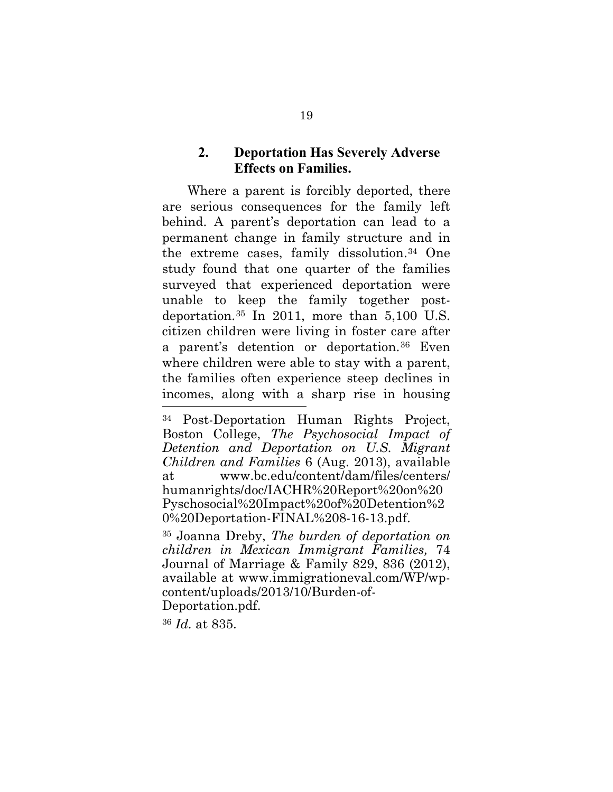#### <span id="page-25-0"></span>**2. Deportation Has Severely Adverse Effects on Families.**

Where a parent is forcibly deported, there are serious consequences for the family left behind. A parent's deportation can lead to a permanent change in family structure and in the extreme cases, family dissolution.[34](#page-25-3) One study found that one quarter of the families surveyed that experienced deportation were unable to keep the family together postdeportation.[35](#page-25-4) In 2011, more than 5,100 U.S. citizen children were living in foster care after a parent's detention or deportation.[36](#page-25-5) Even where children were able to stay with a parent, the families often experience steep declines in incomes, along with a sharp rise in housing l

<span id="page-25-5"></span><sup>36</sup> *Id.* at 835.

<span id="page-25-3"></span><span id="page-25-2"></span><sup>34</sup> Post-Deportation Human Rights Project, Boston College, *The Psychosocial Impact of Detention and Deportation on U.S. Migrant Children and Families* 6 (Aug. 2013), available [at www.bc.edu/content/dam/files/centers/](www.bc.edu/content/dam/files/centers/humanrights/doc/IACHR%20Report%20on%20Pyschosocial%20Impact%20of%20Detention%20%20Deportation-FINAL%208-16-13.pdf) humanrights/doc/IACHR%20Report%20on%20 Pyschosocial%20Impact%20of%20Detention%2 0%20Deportation-FINAL%208-16-13.pdf.

<span id="page-25-4"></span><span id="page-25-1"></span><sup>35</sup> Joanna Dreby, *The burden of deportation on children in Mexican Immigrant Families,* 74 Journal of Marriage & Family 829, 836 (2012), available at www.immigrationeval.com/WP/wpcontent/uploads/2013/10/Burden-of-Deportation.pdf.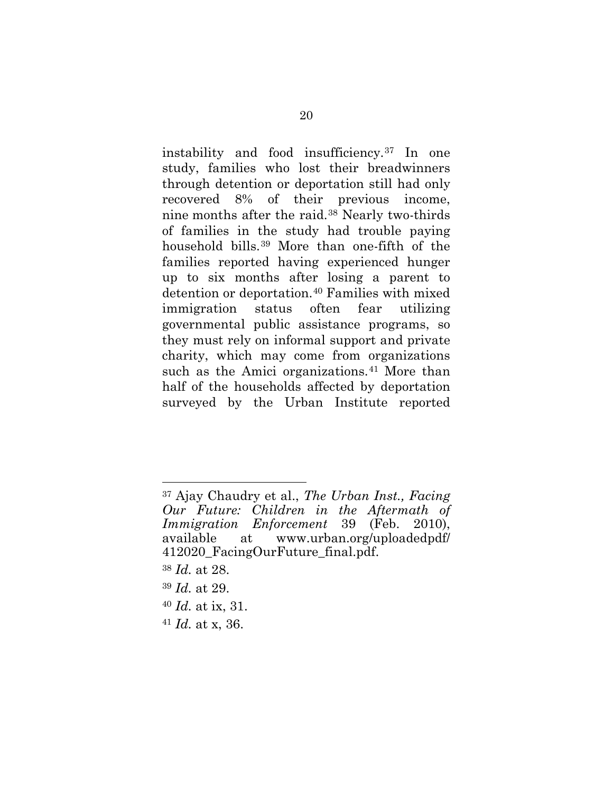instability and food insufficiency.[37](#page-26-1) In one study, families who lost their breadwinners through detention or deportation still had only recovered 8% of their previous income, nine months after the raid.[38](#page-26-2) Nearly two-thirds of families in the study had trouble paying household bills.[39](#page-26-3) More than one-fifth of the families reported having experienced hunger up to six months after losing a parent to detention or deportation.[40](#page-26-4) Families with mixed immigration status often fear utilizing governmental public assistance programs, so they must rely on informal support and private charity, which may come from organizations such as the Amici organizations.<sup>[41](#page-26-5)</sup> More than half of the households affected by deportation surveyed by the Urban Institute reported

<span id="page-26-2"></span><sup>38</sup> *Id.* at 28.

- <span id="page-26-3"></span><sup>39</sup> *Id.* at 29.
- <span id="page-26-4"></span><sup>40</sup> *Id.* at ix, 31.
- <span id="page-26-5"></span><sup>41</sup> *Id.* at x, 36.

<span id="page-26-1"></span><span id="page-26-0"></span><sup>37</sup> Ajay Chaudry et al., *The Urban Inst., Facing Our Future: Children in the Aftermath of Immigration Enforcement* 39 (Feb. 2010), [available at www.urban.org/uploadedpdf/](www.urban.org/uploadedpdf/412020_FacingOurFuture_final.pdf) 412020\_FacingOurFuture\_final.pdf.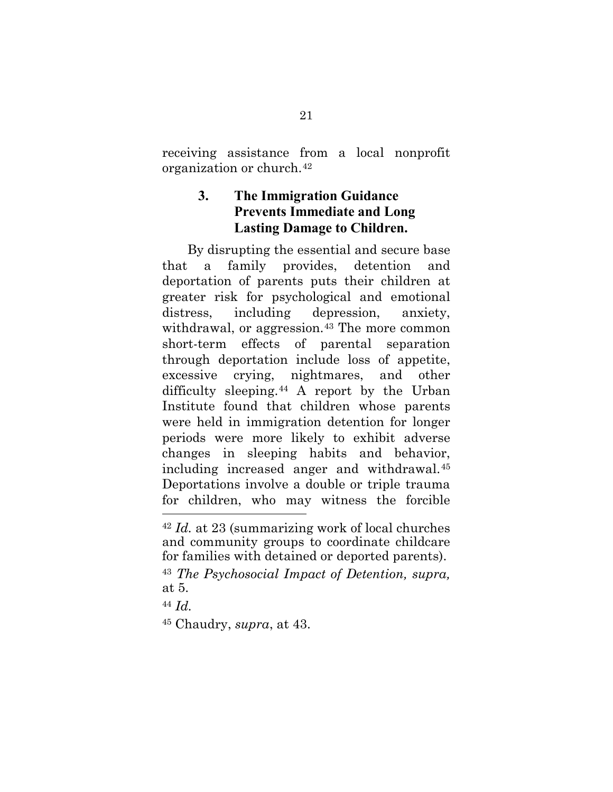<span id="page-27-0"></span>receiving assistance from a local nonprofit organization or church.[42](#page-27-3)

## **3. The Immigration Guidance Prevents Immediate and Long Lasting Damage to Children.**

By disrupting the essential and secure base that a family provides, detention and deportation of parents puts their children at greater risk for psychological and emotional distress, including depression, anxiety, withdrawal, or aggression.<sup>[43](#page-27-4)</sup> The more common short-term effects of parental separation through deportation include loss of appetite, excessive crying, nightmares, and other difficulty sleeping.[44](#page-27-5) A report by the Urban Institute found that children whose parents were held in immigration detention for longer periods were more likely to exhibit adverse changes in sleeping habits and behavior, including increased anger and withdrawal.[45](#page-27-6) Deportations involve a double or triple trauma for children, who may witness the forcible

<span id="page-27-3"></span><span id="page-27-1"></span><sup>42</sup> *Id.* at 23 (summarizing work of local churches and community groups to coordinate childcare for families with detained or deported parents).

<span id="page-27-4"></span><span id="page-27-2"></span><sup>43</sup> *The Psychosocial Impact of Detention, supra,* at 5.

<span id="page-27-5"></span><sup>44</sup> *Id.*

<span id="page-27-6"></span><sup>45</sup> Chaudry, *supra*, at 43.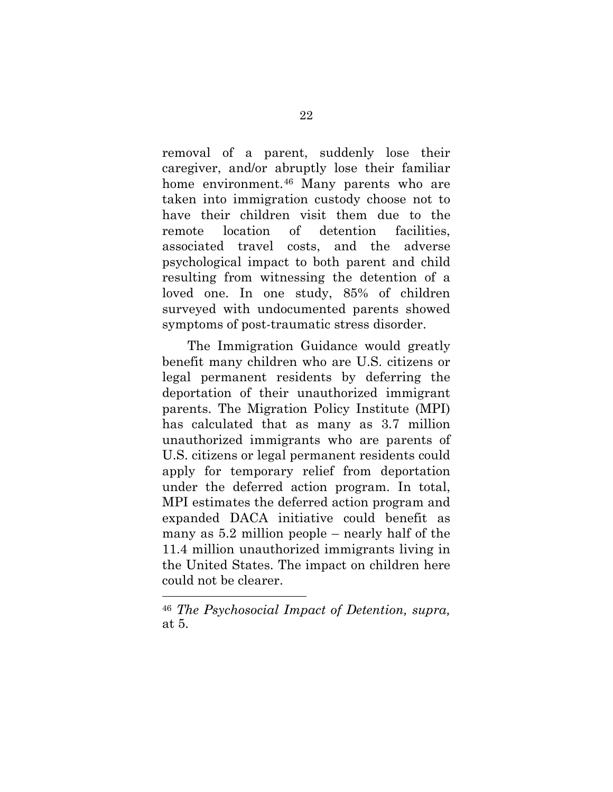removal of a parent, suddenly lose their caregiver, and/or abruptly lose their familiar home environment.<sup>[46](#page-28-1)</sup> Many parents who are taken into immigration custody choose not to have their children visit them due to the remote location of detention facilities, associated travel costs, and the adverse psychological impact to both parent and child resulting from witnessing the detention of a loved one. In one study, 85% of children surveyed with undocumented parents showed symptoms of post-traumatic stress disorder.

The Immigration Guidance would greatly benefit many children who are U.S. citizens or legal permanent residents by deferring the deportation of their unauthorized immigrant parents. The Migration Policy Institute (MPI) has calculated that as many as 3.7 million unauthorized immigrants who are parents of U.S. citizens or legal permanent residents could apply for temporary relief from deportation under the deferred action program. In total, MPI estimates the deferred action program and expanded DACA initiative could benefit as many as 5.2 million people – nearly half of the 11.4 million unauthorized immigrants living in the United States. The impact on children here could not be clearer.

<span id="page-28-1"></span><span id="page-28-0"></span><sup>46</sup> *The Psychosocial Impact of Detention, supra,* at 5.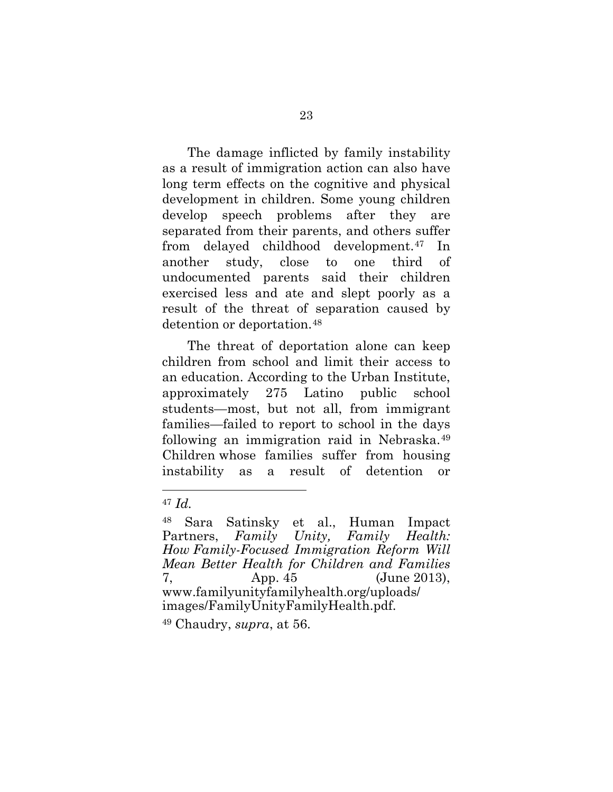The damage inflicted by family instability as a result of immigration action can also have long term effects on the cognitive and physical development in children. Some young children develop speech problems after they are separated from their parents, and others suffer from delayed childhood development.[47](#page-29-2) In another study, close to one third of undocumented parents said their children exercised less and ate and slept poorly as a result of the threat of separation caused by detention or deportation.[48](#page-29-3)

The threat of deportation alone can keep children from school and limit their access to an education. According to the Urban Institute, approximately 275 Latino public school students—most, but not all, from immigrant families—failed to report to school in the days following an immigration raid in Nebraska.[49](#page-29-4) Children whose families suffer from housing instability as a result of detention or

<span id="page-29-0"></span>l

<span id="page-29-4"></span><span id="page-29-1"></span><sup>49</sup> Chaudry, *supra*, at 56.

<span id="page-29-2"></span><sup>47</sup> *Id.*

<span id="page-29-3"></span><sup>48</sup> Sara Satinsky et al., Human Impact Partners, *Family Unity, Family Health: How Family-Focused Immigration Reform Will Mean Better Health for Children and Families* 7, App. 45 (June 2013), [www.familyunityfamilyhealth.org/uploads/](www.familyunityfamilyhealth.org/uploads/images/FamilyUnityFamilyHealth.pdf)  images/FamilyUnityFamilyHealth.pdf.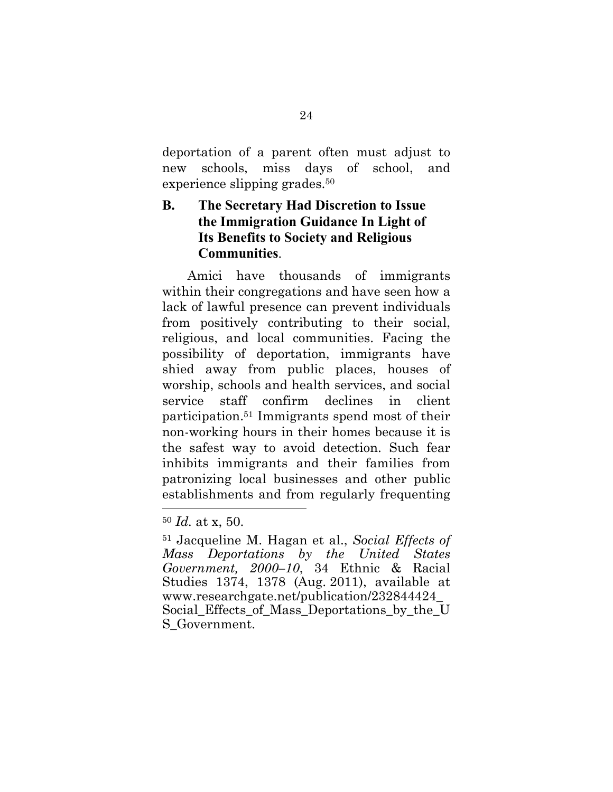<span id="page-30-0"></span>deportation of a parent often must adjust to new schools, miss days of school, and experience slipping grades.<sup>50</sup>

## **B. The Secretary Had Discretion to Issue the Immigration Guidance In Light of Its Benefits to Society and Religious Communities**.

Amici have thousands of immigrants within their congregations and have seen how a lack of lawful presence can prevent individuals from positively contributing to their social, religious, and local communities. Facing the possibility of deportation, immigrants have shied away from public places, houses of worship, schools and health services, and social service staff confirm declines in client participation.51 Immigrants spend most of their non-working hours in their homes because it is the safest way to avoid detection. Such fear inhibits immigrants and their families from patronizing local businesses and other public establishments and from regularly frequenting

<sup>50</sup> *Id.* at x, 50.

<sup>51</sup> Jacqueline M. Hagan et al., *Social Effects of Mass Deportations by the United States Government, 2000–10*, 34 Ethnic & Racial Studies 1374, 1378 (Aug. 2011), available at www.researchgate.net/publication/232844424\_ [Social\\_Effects\\_of\\_Mass\\_Deportations\\_by\\_the\\_U](www.researchgate.net/publication/232844424_Social_Effects_of_Mass_Deportations_by_the_US_Government) S\_Government.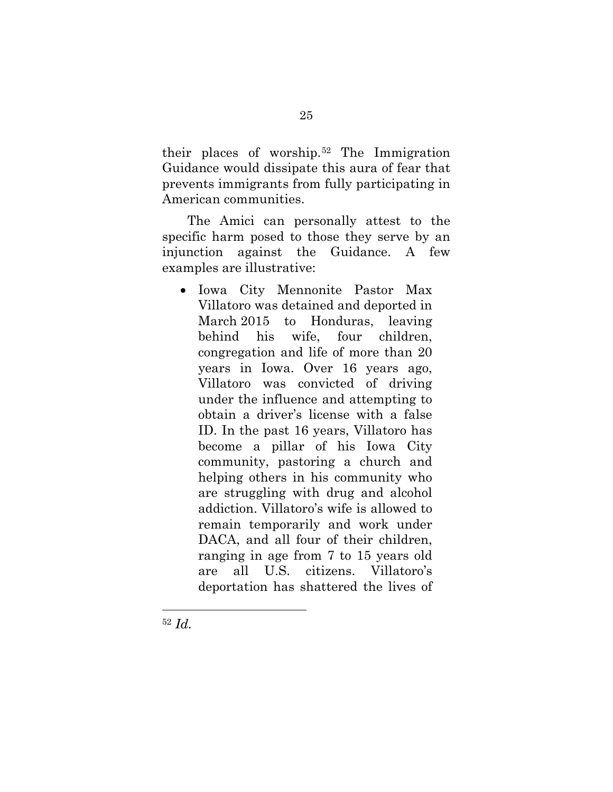their places of worship.[52](#page-31-0) The Immigration Guidance would dissipate this aura of fear that prevents immigrants from fully participating in American communities.

The Amici can personally attest to the specific harm posed to those they serve by an injunction against the Guidance. A few examples are illustrative:

• Iowa City Mennonite Pastor Max Villatoro was detained and deported in March 2015 to Honduras, leaving behind his wife, four children, congregation and life of more than 20 years in Iowa. Over 16 years ago, Villatoro was convicted of driving under the influence and attempting to obtain a driver's license with a false ID. In the past 16 years, Villatoro has become a pillar of his Iowa City community, pastoring a church and helping others in his community who are struggling with drug and alcohol addiction. Villatoro's wife is allowed to remain temporarily and work under DACA, and all four of their children, ranging in age from 7 to 15 years old are all U.S. citizens. Villatoro's deportation has shattered the lives of

<span id="page-31-0"></span><sup>52</sup> *Id.*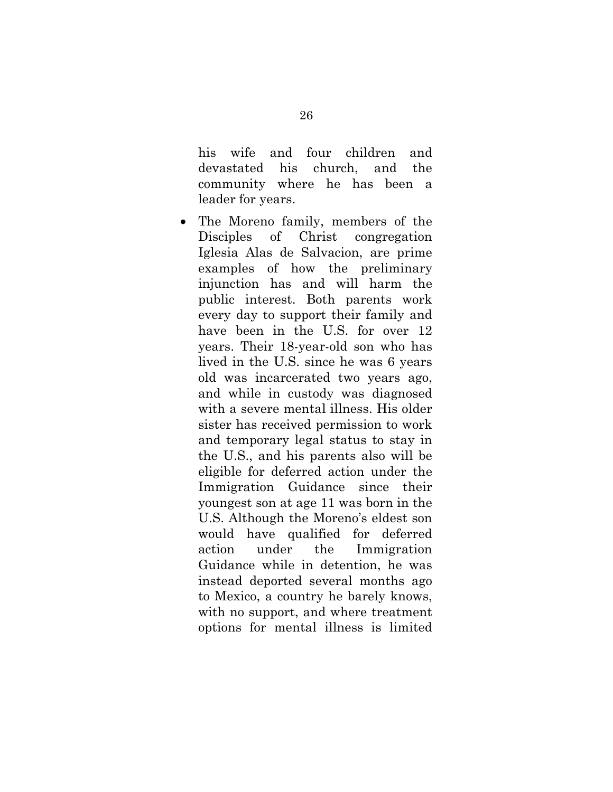his wife and four children and devastated his church, and the community where he has been a leader for years.

The Moreno family, members of the Disciples of Christ congregation Iglesia Alas de Salvacion, are prime examples of how the preliminary injunction has and will harm the public interest. Both parents work every day to support their family and have been in the U.S. for over 12 years. Their 18-year-old son who has lived in the U.S. since he was 6 years old was incarcerated two years ago, and while in custody was diagnosed with a severe mental illness. His older sister has received permission to work and temporary legal status to stay in the U.S., and his parents also will be eligible for deferred action under the Immigration Guidance since their youngest son at age 11 was born in the U.S. Although the Moreno's eldest son would have qualified for deferred action under the Immigration Guidance while in detention, he was instead deported several months ago to Mexico, a country he barely knows, with no support, and where treatment options for mental illness is limited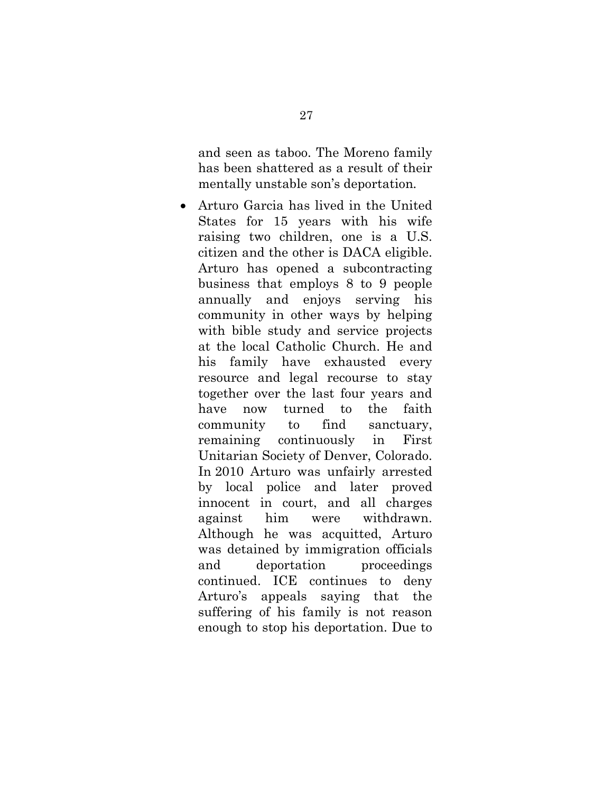and seen as taboo. The Moreno family has been shattered as a result of their mentally unstable son's deportation*.*

• Arturo Garcia has lived in the United States for 15 years with his wife raising two children, one is a U.S. citizen and the other is DACA eligible. Arturo has opened a subcontracting business that employs 8 to 9 people annually and enjoys serving his community in other ways by helping with bible study and service projects at the local Catholic Church. He and his family have exhausted every resource and legal recourse to stay together over the last four years and have now turned to the faith community to find sanctuary, remaining continuously in First Unitarian Society of Denver, Colorado. In 2010 Arturo was unfairly arrested by local police and later proved innocent in court, and all charges against him were withdrawn. Although he was acquitted, Arturo was detained by immigration officials and deportation proceedings continued. ICE continues to deny Arturo's appeals saying that the suffering of his family is not reason enough to stop his deportation. Due to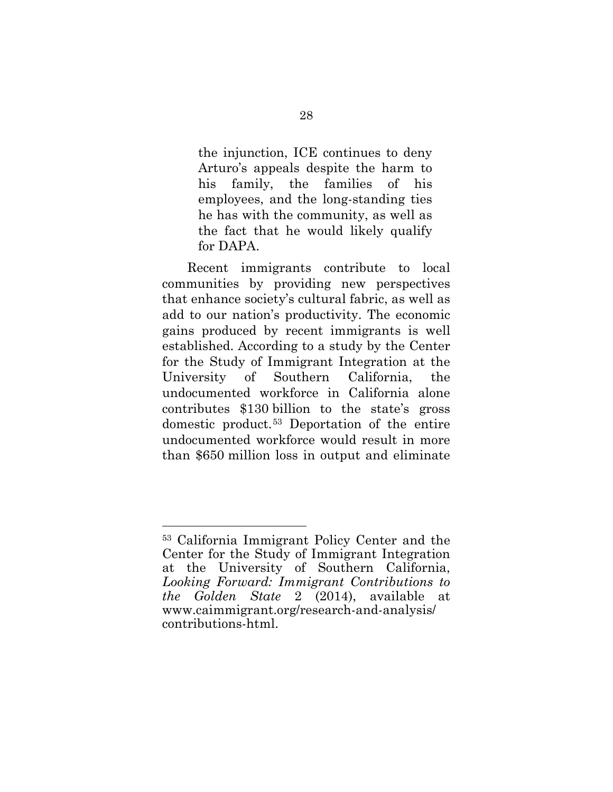the injunction, ICE continues to deny Arturo's appeals despite the harm to his family, the families of his employees, and the long-standing ties he has with the community, as well as the fact that he would likely qualify for DAPA.

Recent immigrants contribute to local communities by providing new perspectives that enhance society's cultural fabric, as well as add to our nation's productivity. The economic gains produced by recent immigrants is well established. According to a study by the Center for the Study of Immigrant Integration at the University of Southern California, the undocumented workforce in California alone contributes \$130 billion to the state's gross domestic product.[53](#page-34-1) Deportation of the entire undocumented workforce would result in more than \$650 million loss in output and eliminate

<span id="page-34-1"></span><span id="page-34-0"></span><sup>53</sup> California Immigrant Policy Center and the Center for the Study of Immigrant Integration at the University of Southern California, *Looking Forward: Immigrant Contributions to the Golden State* 2 (2014), available at [www.caimmigrant.org/research-and-analysis/](www.caimmigrant.org/research-and-analysis/contributions-html) contributions-html.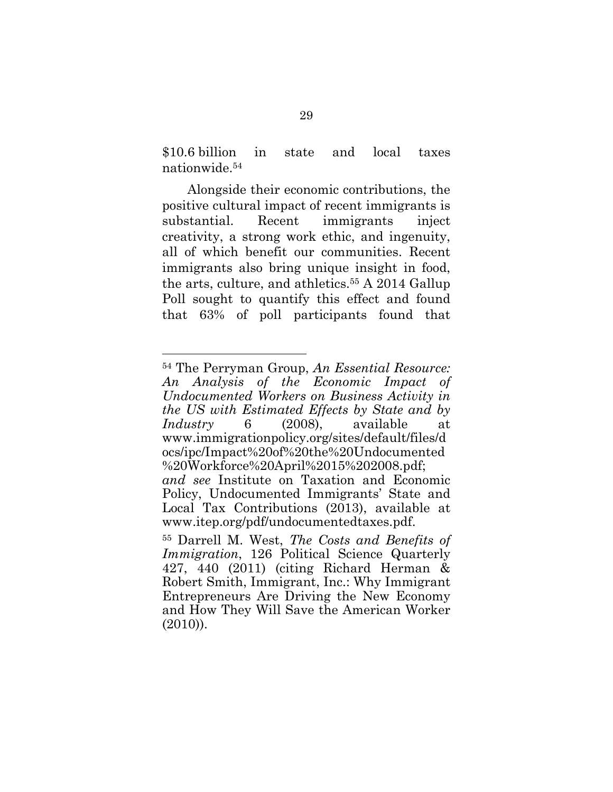<span id="page-35-0"></span>\$10.6 billion in state and local taxes nationwide.54

Alongside their economic contributions, the positive cultural impact of recent immigrants is substantial. Recent immigrants inject creativity, a strong work ethic, and ingenuity, all of which benefit our communities. Recent immigrants also bring unique insight in food, the arts, culture, and athletics.<sup>55</sup> A 2014 Gallup Poll sought to quantify this effect and found that 63% of poll participants found that

<sup>54</sup> The Perryman Group, *An Essential Resource: An Analysis of the Economic Impact of Undocumented Workers on Business Activity in the US with Estimated Effects by State and by Industry* 6 (2008), available at www.immigrationpolicy.org/sites/default/files/d ocs/ipc/Impact%20of%20the%20Undocumented %20Workforce%20April%2015%202008.pdf; *and see* Institute on Taxation and Economic Policy, Undocumented Immigrants' State and Local Tax Contributions (2013), available at www.itep.org/pdf/undocumentedtaxes.pdf.

<sup>55</sup> Darrell M. West, *The Costs and Benefits of Immigration*, 126 Political Science Quarterly 427, 440 (2011) (citing Richard Herman & Robert Smith, Immigrant, Inc.: Why Immigrant Entrepreneurs Are Driving the New Economy and How They Will Save the American Worker (2010)).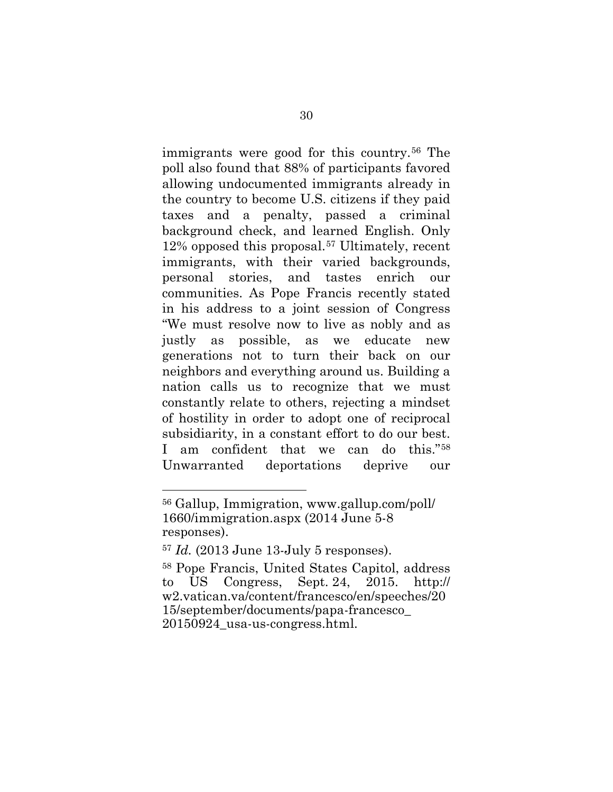immigrants were good for this country.[56](#page-36-2) The poll also found that 88% of participants favored allowing undocumented immigrants already in the country to become U.S. citizens if they paid taxes and a penalty, passed a criminal background check, and learned English. Only 12% opposed this proposal.[57](#page-36-3) Ultimately, recent immigrants, with their varied backgrounds, personal stories, and tastes enrich our communities. As Pope Francis recently stated in his address to a joint session of Congress "We must resolve now to live as nobly and as justly as possible, as we educate new generations not to turn their back on our neighbors and everything around us. Building a nation calls us to recognize that we must constantly relate to others, rejecting a mindset of hostility in order to adopt one of reciprocal subsidiarity, in a constant effort to do our best. I am confident that we can do this."[58](#page-36-4) Unwarranted deportations deprive our

<span id="page-36-2"></span><span id="page-36-0"></span><sup>56</sup> [Gallup, Immigration, www.gallup.com/poll/](www.gallup.com/poll/1660/immigration.aspx) 1660/immigration.aspx (2014 June 5-8 responses).

<span id="page-36-3"></span><sup>57</sup> *Id.* (2013 June 13-July 5 responses).

<span id="page-36-4"></span><span id="page-36-1"></span><sup>58</sup> Pope Francis, United States Capitol, address to US Congress, Sept. 24, 2015. http:// [w2.vatican.va/content/francesco/en/speeches/20](http://w2.vatican.va/content/francesco/en/speeches/2015/september/documents/papa-francesco_20150924_usa-us-congress.html) 15/september/documents/papa-francesco\_ 20150924\_usa-us-congress.html.